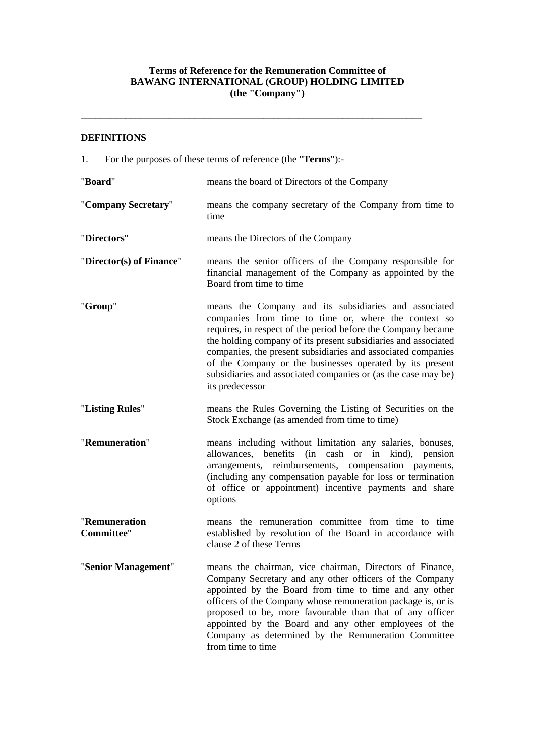# **Terms of Reference for the Remuneration Committee of BAWANG INTERNATIONAL (GROUP) HOLDING LIMITED (the "Company")**

\_\_\_\_\_\_\_\_\_\_\_\_\_\_\_\_\_\_\_\_\_\_\_\_\_\_\_\_\_\_\_\_\_\_\_\_\_\_\_\_\_\_\_\_\_\_\_\_\_\_\_\_\_\_\_\_\_\_\_\_\_\_\_\_\_\_\_\_\_

## **DEFINITIONS**

1. For the purposes of these terms of reference (the "**Terms**"):-

| "Board"                            | means the board of Directors of the Company                                                                                                                                                                                                                                                                                                                                                                                                                     |
|------------------------------------|-----------------------------------------------------------------------------------------------------------------------------------------------------------------------------------------------------------------------------------------------------------------------------------------------------------------------------------------------------------------------------------------------------------------------------------------------------------------|
| "Company Secretary"                | means the company secretary of the Company from time to<br>time                                                                                                                                                                                                                                                                                                                                                                                                 |
| "Directors"                        | means the Directors of the Company                                                                                                                                                                                                                                                                                                                                                                                                                              |
| "Director(s) of Finance"           | means the senior officers of the Company responsible for<br>financial management of the Company as appointed by the<br>Board from time to time                                                                                                                                                                                                                                                                                                                  |
| "Group"                            | means the Company and its subsidiaries and associated<br>companies from time to time or, where the context so<br>requires, in respect of the period before the Company became<br>the holding company of its present subsidiaries and associated<br>companies, the present subsidiaries and associated companies<br>of the Company or the businesses operated by its present<br>subsidiaries and associated companies or (as the case may be)<br>its predecessor |
| "Listing Rules"                    | means the Rules Governing the Listing of Securities on the<br>Stock Exchange (as amended from time to time)                                                                                                                                                                                                                                                                                                                                                     |
| "Remuneration"                     | means including without limitation any salaries, bonuses,<br>allowances, benefits (in cash or in kind),<br>pension<br>arrangements, reimbursements, compensation payments,<br>(including any compensation payable for loss or termination<br>of office or appointment) incentive payments and share<br>options                                                                                                                                                  |
| "Remuneration<br><b>Committee"</b> | means the remuneration committee from time to time<br>established by resolution of the Board in accordance with<br>clause 2 of these Terms                                                                                                                                                                                                                                                                                                                      |
| "Senior Management"                | means the chairman, vice chairman, Directors of Finance,<br>Company Secretary and any other officers of the Company<br>appointed by the Board from time to time and any other<br>officers of the Company whose remuneration package is, or is<br>proposed to be, more favourable than that of any officer<br>appointed by the Board and any other employees of the<br>Company as determined by the Remuneration Committee<br>from time to time                  |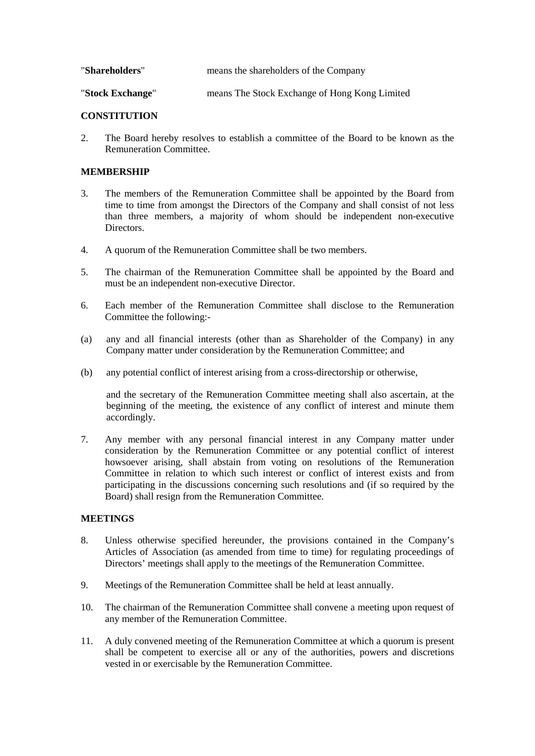| "Shareholders"   | means the shareholders of the Company         |
|------------------|-----------------------------------------------|
| "Stock Exchange" | means The Stock Exchange of Hong Kong Limited |

## **CONSTITUTION**

2. The Board hereby resolves to establish a committee of the Board to be known as the Remuneration Committee.

## **MEMBERSHIP**

- 3. The members of the Remuneration Committee shall be appointed by the Board from time to time from amongst the Directors of the Company and shall consist of not less than three members, a majority of whom should be independent non-executive Directors.
- 4. A quorum of the Remuneration Committee shall be two members.
- 5. The chairman of the Remuneration Committee shall be appointed by the Board and must be an independent non-executive Director.
- 6. Each member of the Remuneration Committee shall disclose to the Remuneration Committee the following:-
- (a) any and all financial interests (other than as Shareholder of the Company) in any Company matter under consideration by the Remuneration Committee; and
- (b) any potential conflict of interest arising from a cross-directorship or otherwise,

and the secretary of the Remuneration Committee meeting shall also ascertain, at the beginning of the meeting, the existence of any conflict of interest and minute them accordingly.

7. Any member with any personal financial interest in any Company matter under consideration by the Remuneration Committee or any potential conflict of interest howsoever arising, shall abstain from voting on resolutions of the Remuneration Committee in relation to which such interest or conflict of interest exists and from participating in the discussions concerning such resolutions and (if so required by the Board) shall resign from the Remuneration Committee.

#### **MEETINGS**

- 8. Unless otherwise specified hereunder, the provisions contained in the Company's Articles of Association (as amended from time to time) for regulating proceedings of Directors' meetings shall apply to the meetings of the Remuneration Committee.
- 9. Meetings of the Remuneration Committee shall be held at least annually.
- 10. The chairman of the Remuneration Committee shall convene a meeting upon request of any member of the Remuneration Committee.
- 11. A duly convened meeting of the Remuneration Committee at which a quorum is present shall be competent to exercise all or any of the authorities, powers and discretions vested in or exercisable by the Remuneration Committee.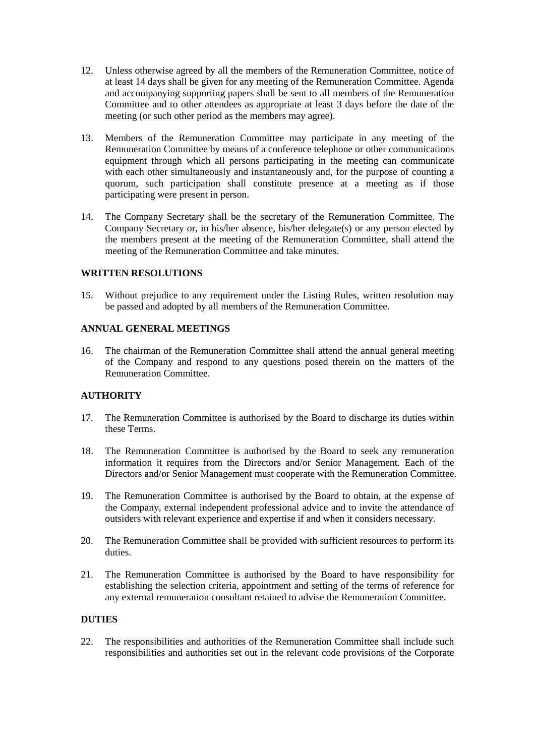- 12. Unless otherwise agreed by all the members of the Remuneration Committee, notice of at least 14 days shall be given for any meeting of the Remuneration Committee. Agenda and accompanying supporting papers shall be sent to all members of the Remuneration Committee and to other attendees as appropriate at least 3 days before the date of the meeting (or such other period as the members may agree).
- 13. Members of the Remuneration Committee may participate in any meeting of the Remuneration Committee by means of a conference telephone or other communications equipment through which all persons participating in the meeting can communicate with each other simultaneously and instantaneously and, for the purpose of counting a quorum, such participation shall constitute presence at a meeting as if those participating were present in person.
- 14. The Company Secretary shall be the secretary of the Remuneration Committee. The Company Secretary or, in his/her absence, his/her delegate(s) or any person elected by the members present at the meeting of the Remuneration Committee, shall attend the meeting of the Remuneration Committee and take minutes.

## **WRITTEN RESOLUTIONS**

15. Without prejudice to any requirement under the Listing Rules, written resolution may be passed and adopted by all members of the Remuneration Committee.

## **ANNUAL GENERAL MEETINGS**

16. The chairman of the Remuneration Committee shall attend the annual general meeting of the Company and respond to any questions posed therein on the matters of the Remuneration Committee.

#### **AUTHORITY**

- 17. The Remuneration Committee is authorised by the Board to discharge its duties within these Terms.
- 18. The Remuneration Committee is authorised by the Board to seek any remuneration information it requires from the Directors and/or Senior Management. Each of the Directors and/or Senior Management must cooperate with the Remuneration Committee.
- 19. The Remuneration Committee is authorised by the Board to obtain, at the expense of the Company, external independent professional advice and to invite the attendance of outsiders with relevant experience and expertise if and when it considers necessary.
- 20. The Remuneration Committee shall be provided with sufficient resources to perform its duties.
- 21. The Remuneration Committee is authorised by the Board to have responsibility for establishing the selection criteria, appointment and setting of the terms of reference for any external remuneration consultant retained to advise the Remuneration Committee.

#### **DUTIES**

22. The responsibilities and authorities of the Remuneration Committee shall include such responsibilities and authorities set out in the relevant code provisions of the Corporate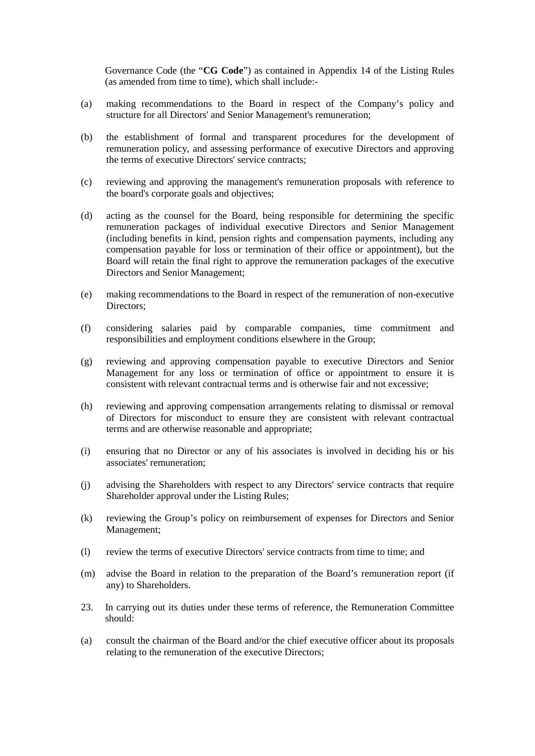Governance Code (the "**CG Code**") as contained in Appendix 14 of the Listing Rules (as amended from time to time), which shall include:-

- (a) making recommendations to the Board in respect of the Company's policy and structure for all Directors' and Senior Management's remuneration;
- (b) the establishment of formal and transparent procedures for the development of remuneration policy, and assessing performance of executive Directors and approving the terms of executive Directors' service contracts;
- (c) reviewing and approving the management's remuneration proposals with reference to the board's corporate goals and objectives;
- (d) acting as the counsel for the Board, being responsible for determining the specific remuneration packages of individual executive Directors and Senior Management (including benefits in kind, pension rights and compensation payments, including any compensation payable for loss or termination of their office or appointment), but the Board will retain the final right to approve the remuneration packages of the executive Directors and Senior Management;
- (e) making recommendations to the Board in respect of the remuneration of non-executive Directors:
- (f) considering salaries paid by comparable companies, time commitment and responsibilities and employment conditions elsewhere in the Group;
- (g) reviewing and approving compensation payable to executive Directors and Senior Management for any loss or termination of office or appointment to ensure it is consistent with relevant contractual terms and is otherwise fair and not excessive;
- (h) reviewing and approving compensation arrangements relating to dismissal or removal of Directors for misconduct to ensure they are consistent with relevant contractual terms and are otherwise reasonable and appropriate;
- (i) ensuring that no Director or any of his associates is involved in deciding his or his associates' remuneration;
- (j) advising the Shareholders with respect to any Directors' service contracts that require Shareholder approval under the Listing Rules;
- (k) reviewing the Group's policy on reimbursement of expenses for Directors and Senior Management;
- (l) review the terms of executive Directors' service contracts from time to time; and
- (m) advise the Board in relation to the preparation of the Board's remuneration report (if any) to Shareholders.
- 23. In carrying out its duties under these terms of reference, the Remuneration Committee should:
- (a) consult the chairman of the Board and/or the chief executive officer about its proposals relating to the remuneration of the executive Directors;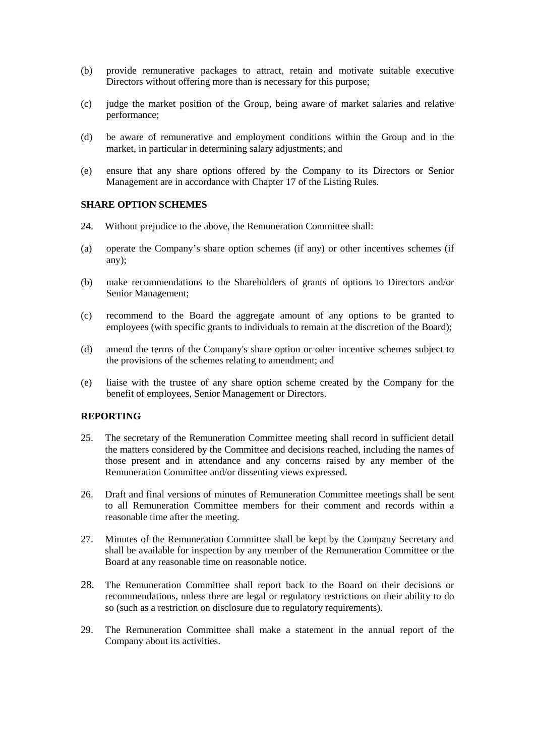- (b) provide remunerative packages to attract, retain and motivate suitable executive Directors without offering more than is necessary for this purpose;
- (c) judge the market position of the Group, being aware of market salaries and relative performance;
- (d) be aware of remunerative and employment conditions within the Group and in the market, in particular in determining salary adjustments; and
- (e) ensure that any share options offered by the Company to its Directors or Senior Management are in accordance with Chapter 17 of the Listing Rules.

#### **SHARE OPTION SCHEMES**

- 24. Without prejudice to the above, the Remuneration Committee shall:
- (a) operate the Company's share option schemes (if any) or other incentives schemes (if any);
- (b) make recommendations to the Shareholders of grants of options to Directors and/or Senior Management;
- (c) recommend to the Board the aggregate amount of any options to be granted to employees (with specific grants to individuals to remain at the discretion of the Board);
- (d) amend the terms of the Company's share option or other incentive schemes subject to the provisions of the schemes relating to amendment; and
- (e) liaise with the trustee of any share option scheme created by the Company for the benefit of employees, Senior Management or Directors.

#### **REPORTING**

- 25. The secretary of the Remuneration Committee meeting shall record in sufficient detail the matters considered by the Committee and decisions reached, including the names of those present and in attendance and any concerns raised by any member of the Remuneration Committee and/or dissenting views expressed.
- 26. Draft and final versions of minutes of Remuneration Committee meetings shall be sent to all Remuneration Committee members for their comment and records within a reasonable time after the meeting.
- 27. Minutes of the Remuneration Committee shall be kept by the Company Secretary and shall be available for inspection by any member of the Remuneration Committee or the Board at any reasonable time on reasonable notice.
- 28. The Remuneration Committee shall report back to the Board on their decisions or recommendations, unless there are legal or regulatory restrictions on their ability to do so (such as a restriction on disclosure due to regulatory requirements).
- 29. The Remuneration Committee shall make a statement in the annual report of the Company about its activities.